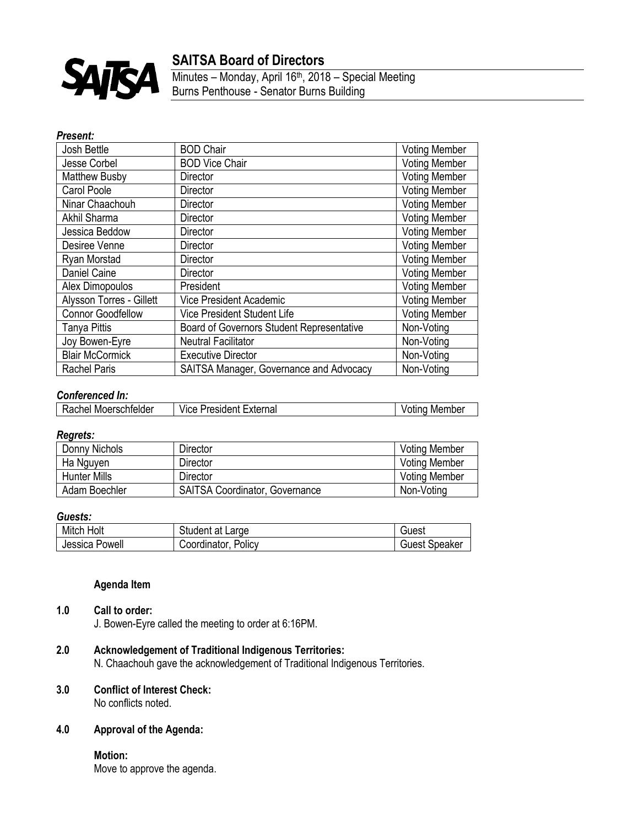

# **SAITSA Board of Directors**

Minutes – Monday, April 16<sup>th</sup>, 2018 – Special Meeting Burns Penthouse - Senator Burns Building

### *Present:*

| Josh Bettle              | <b>BOD Chair</b>                          | <b>Voting Member</b> |
|--------------------------|-------------------------------------------|----------------------|
| Jesse Corbel             | <b>BOD Vice Chair</b>                     | <b>Voting Member</b> |
| <b>Matthew Busby</b>     | Director                                  | <b>Voting Member</b> |
| Carol Poole              | Director                                  | <b>Voting Member</b> |
| Ninar Chaachouh          | Director                                  | <b>Voting Member</b> |
| Akhil Sharma             | Director                                  | <b>Voting Member</b> |
| Jessica Beddow           | Director                                  | <b>Voting Member</b> |
| Desiree Venne            | Director                                  | <b>Voting Member</b> |
| Ryan Morstad             | Director                                  | <b>Voting Member</b> |
| Daniel Caine             | Director                                  | <b>Voting Member</b> |
| Alex Dimopoulos          | President                                 | <b>Voting Member</b> |
| Alysson Torres - Gillett | Vice President Academic                   | <b>Voting Member</b> |
| <b>Connor Goodfellow</b> | Vice President Student Life               | <b>Voting Member</b> |
| Tanya Pittis             | Board of Governors Student Representative | Non-Voting           |
| Joy Bowen-Eyre           | <b>Neutral Facilitator</b>                | Non-Voting           |
| <b>Blair McCormick</b>   | <b>Executive Director</b>                 | Non-Voting           |
| <b>Rachel Paris</b>      | SAITSA Manager, Governance and Advocacy   | Non-Voting           |

### *Conferenced In:*

| Rachel Moerschfelder<br><b>President External</b><br>Member<br>Vice<br>Voting |
|-------------------------------------------------------------------------------|
|-------------------------------------------------------------------------------|

#### *Regrets:*

| Donny Nichols       | Director                              | <b>Voting Member</b> |
|---------------------|---------------------------------------|----------------------|
| Ha Nguyen           | Director                              | <b>Voting Member</b> |
| <b>Hunter Mills</b> | Director                              | <b>Voting Member</b> |
| Adam Boechler       | <b>SAITSA Coordinator, Governance</b> | Non-Voting           |

### *Guests:*

| Mitch Holt     | Student at Large       | ંગest         |
|----------------|------------------------|---------------|
| Jessica Powell | Policy<br>Coordinator. | Guest Speaker |

## **Agenda Item**

## **1.0 Call to order:**

J. Bowen-Eyre called the meeting to order at 6:16PM.

## **2.0 Acknowledgement of Traditional Indigenous Territories:**

N. Chaachouh gave the acknowledgement of Traditional Indigenous Territories.

## **3.0 Conflict of Interest Check:**

No conflicts noted.

### **4.0 Approval of the Agenda:**

**Motion:** Move to approve the agenda.